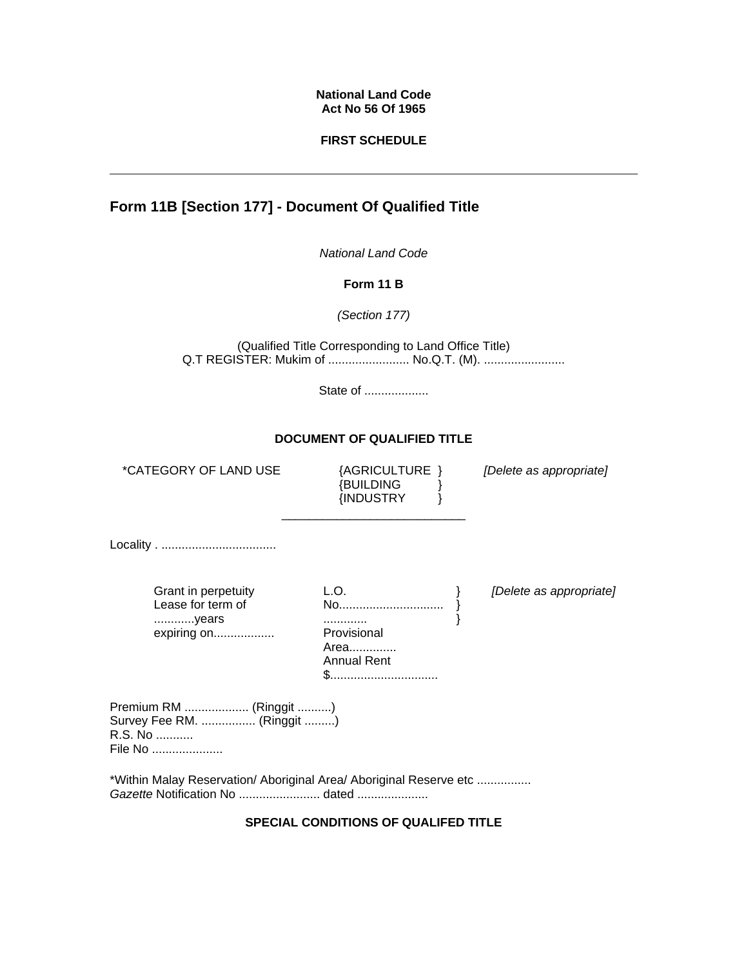#### **National Land Code Act No 56 Of 1965**

### **FIRST SCHEDULE**

# **Form 11B [Section 177] - Document Of Qualified Title**

*National Land Code* 

**Form 11 B**

*(Section 177)* 

(Qualified Title Corresponding to Land Office Title) Q.T REGISTER: Mukim of ........................ No.Q.T. (M). .........................

State of ...................

#### **DOCUMENT OF QUALIFIED TITLE**

\*CATEGORY OF LAND USE

{BUILDING {INDUSTRY {AGRICULTURE }

\_\_\_\_\_\_\_\_\_\_\_\_\_\_\_\_\_\_\_\_\_\_\_\_\_\_\_

} } *[Delete as appropriate]*

Locality . ..................................

Grant in perpetuity Lease for term of ............years expiring on................... L.O. No............................... } ............. Provisional Area.............. Annual Rent \$................................. } }

*[Delete as appropriate]*

Premium RM ................... (Ringgit ..........) Survey Fee RM. ................ (Ringgit .........) R.S. No ........... File No .....................

\*Within Malay Reservation/ Aboriginal Area/ Aboriginal Reserve etc ................ *Gazette* Notification No ........................ dated .....................

## **SPECIAL CONDITIONS OF QUALIFED TITLE**